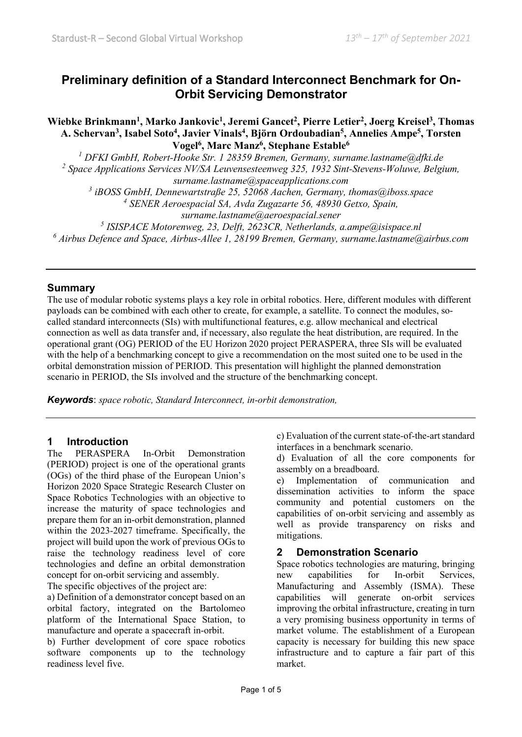# **Preliminary definition of a Standard Interconnect Benchmark for On-Orbit Servicing Demonstrator**

Wiebke Brinkmann<sup>1</sup>, Marko Jankovic<sup>1</sup>, Jeremi Gancet<sup>2</sup>, Pierre Letier<sup>2</sup>, Joerg Kreisel<sup>3</sup>, Thomas **A. Schervan3, Isabel Soto4, Javier Vinals4, Björn Ordoubadian5, Annelies Ampe5, Torsten Vogel6, Marc Manz6, Stephane Estable6**

*<sup>1</sup> DFKI GmbH, Robert-Hooke Str. 1 28359 Bremen, Germany, surname.lastname@dfki.de <sup>2</sup> Space Applications Services NV/SA Leuvensesteenweg 325, 1932 Sint-Stevens-Woluwe, Belgium, surname.lastname@spaceapplications.com* 

*<sup>3</sup> iBOSS GmbH, Dennewartstraße 25, 52068 Aachen, Germany, thomas@iboss.space <sup>4</sup> SENER Aeroespacial SA, Avda Zugazarte 56, 48930 Getxo, Spain,* 

*surname.lastname@aeroespacial.sener*

*<sup>5</sup> ISISPACE Motorenweg, 23, Delft, 2623CR, Netherlands, a.ampe@isispace.nl <sup>6</sup> Airbus Defence and Space, Airbus-Allee 1, 28199 Bremen, Germany, surname.lastname@airbus.com*

### **Summary**

The use of modular robotic systems plays a key role in orbital robotics. Here, different modules with different payloads can be combined with each other to create, for example, a satellite. To connect the modules, socalled standard interconnects (SIs) with multifunctional features, e.g. allow mechanical and electrical connection as well as data transfer and, if necessary, also regulate the heat distribution, are required. In the operational grant (OG) PERIOD of the EU Horizon 2020 project PERASPERA, three SIs will be evaluated with the help of a benchmarking concept to give a recommendation on the most suited one to be used in the orbital demonstration mission of PERIOD. This presentation will highlight the planned demonstration scenario in PERIOD, the SIs involved and the structure of the benchmarking concept.

*Keywords*: *space robotic, Standard Interconnect, in-orbit demonstration,* 

### **1 Introduction**

The PERASPERA In-Orbit Demonstration (PERIOD) project is one of the operational grants (OGs) of the third phase of the European Union's Horizon 2020 Space Strategic Research Cluster on Space Robotics Technologies with an objective to increase the maturity of space technologies and prepare them for an in-orbit demonstration, planned within the 2023-2027 timeframe. Specifically, the project will build upon the work of previous OGs to raise the technology readiness level of core technologies and define an orbital demonstration concept for on-orbit servicing and assembly.

The specific objectives of the project are:

a) Definition of a demonstrator concept based on an orbital factory, integrated on the Bartolomeo platform of the International Space Station, to manufacture and operate a spacecraft in-orbit.

b) Further development of core space robotics software components up to the technology readiness level five.

c) Evaluation of the current state-of-the-art standard interfaces in a benchmark scenario.

d) Evaluation of all the core components for assembly on a breadboard.

e) Implementation of communication and dissemination activities to inform the space community and potential customers on the capabilities of on-orbit servicing and assembly as well as provide transparency on risks and mitigations.

### **2 Demonstration Scenario**

Space robotics technologies are maturing, bringing new capabilities for In-orbit Services, Manufacturing and Assembly (ISMA). These capabilities will generate on-orbit services improving the orbital infrastructure, creating in turn a very promising business opportunity in terms of market volume. The establishment of a European capacity is necessary for building this new space infrastructure and to capture a fair part of this market.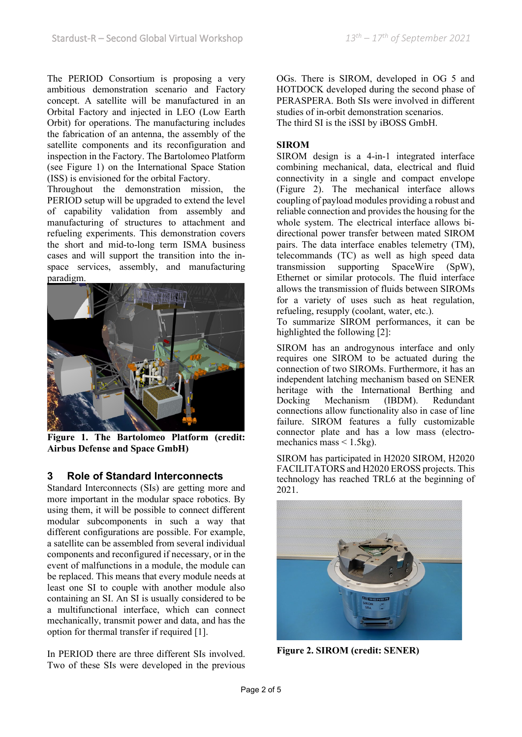The PERIOD Consortium is proposing a very ambitious demonstration scenario and Factory concept. A satellite will be manufactured in an Orbital Factory and injected in LEO (Low Earth Orbit) for operations. The manufacturing includes the fabrication of an antenna, the assembly of the satellite components and its reconfiguration and inspection in the Factory. The Bartolomeo Platform (see Figure 1) on the International Space Station (ISS) is envisioned for the orbital Factory.

Throughout the demonstration mission, the PERIOD setup will be upgraded to extend the level of capability validation from assembly and manufacturing of structures to attachment and refueling experiments. This demonstration covers the short and mid-to-long term ISMA business cases and will support the transition into the inspace services, assembly, and manufacturing paradigm.



**Figure 1. The Bartolomeo Platform (credit: Airbus Defense and Space GmbH)**

## **3 Role of Standard Interconnects**

Standard Interconnects (SIs) are getting more and more important in the modular space robotics. By using them, it will be possible to connect different modular subcomponents in such a way that different configurations are possible. For example, a satellite can be assembled from several individual components and reconfigured if necessary, or in the event of malfunctions in a module, the module can be replaced. This means that every module needs at least one SI to couple with another module also containing an SI. An SI is usually considered to be a multifunctional interface, which can connect mechanically, transmit power and data, and has the option for thermal transfer if required [1].

In PERIOD there are three different SIs involved. Two of these SIs were developed in the previous OGs. There is SIROM, developed in OG 5 and HOTDOCK developed during the second phase of PERASPERA. Both SIs were involved in different studies of in-orbit demonstration scenarios. The third SI is the iSSI by iBOSS GmbH.

#### **SIROM**

SIROM design is a 4-in-1 integrated interface combining mechanical, data, electrical and fluid connectivity in a single and compact envelope (Figure 2). The mechanical interface allows coupling of payload modules providing a robust and reliable connection and provides the housing for the whole system. The electrical interface allows bidirectional power transfer between mated SIROM pairs. The data interface enables telemetry (TM), telecommands (TC) as well as high speed data transmission supporting SpaceWire (SpW), Ethernet or similar protocols. The fluid interface allows the transmission of fluids between SIROMs for a variety of uses such as heat regulation, refueling, resupply (coolant, water, etc.).

To summarize SIROM performances, it can be highlighted the following [2]:

SIROM has an androgynous interface and only requires one SIROM to be actuated during the connection of two SIROMs. Furthermore, it has an independent latching mechanism based on SENER heritage with the International Berthing and Docking Mechanism (IBDM). Redundant connections allow functionality also in case of line failure. SIROM features a fully customizable connector plate and has a low mass (electromechanics mass  $\leq 1.5$ kg).

SIROM has participated in H2020 SIROM, H2020 FACILITATORS and H2020 EROSS projects. This technology has reached TRL6 at the beginning of 2021.



**Figure 2. SIROM (credit: SENER)**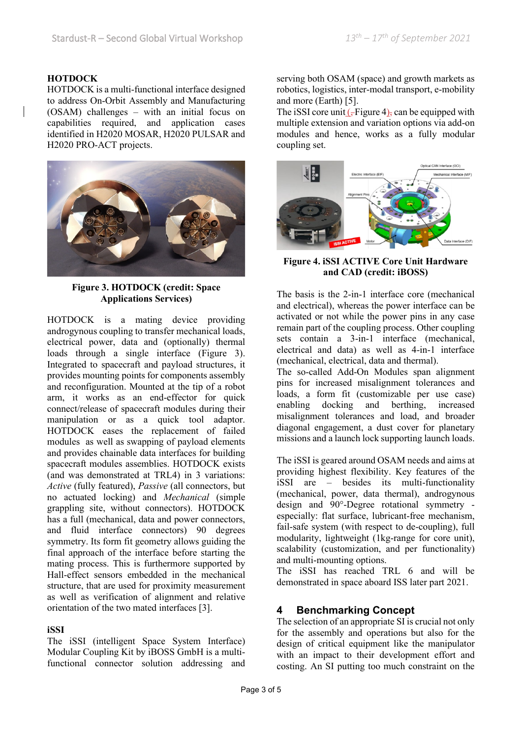#### **HOTDOCK**

HOTDOCK is a multi-functional interface designed to address On-Orbit Assembly and Manufacturing (OSAM) challenges – with an initial focus on capabilities required, and application cases identified in H2020 MOSAR, H2020 PULSAR and H2020 PRO-ACT projects.



**Figure 3. HOTDOCK (credit: Space Applications Services)**

HOTDOCK is a mating device providing androgynous coupling to transfer mechanical loads, electrical power, data and (optionally) thermal loads through a single interface (Figure 3). Integrated to spacecraft and payload structures, it provides mounting points for components assembly and reconfiguration. Mounted at the tip of a robot arm, it works as an end-effector for quick connect/release of spacecraft modules during their manipulation or as a quick tool adaptor. HOTDOCK eases the replacement of failed modules as well as swapping of payload elements and provides chainable data interfaces for building spacecraft modules assemblies. HOTDOCK exists (and was demonstrated at TRL4) in 3 variations: *Active* (fully featured), *Passive* (all connectors, but no actuated locking) and *Mechanical* (simple grappling site, without connectors). HOTDOCK has a full (mechanical, data and power connectors, and fluid interface connectors) 90 degrees symmetry. Its form fit geometry allows guiding the final approach of the interface before starting the mating process. This is furthermore supported by Hall-effect sensors embedded in the mechanical structure, that are used for proximity measurement as well as verification of alignment and relative orientation of the two mated interfaces [3].

#### **iSSI**

The iSSI (intelligent Space System Interface) Modular Coupling Kit by iBOSS GmbH is a multifunctional connector solution addressing and

serving both OSAM (space) and growth markets as robotics, logistics, inter-modal transport, e-mobility and more (Earth) [5].

The iSSI core unit  $(-$ Figure 4), can be equipped with multiple extension and variation options via add-on modules and hence, works as a fully modular coupling set.



**Figure 4. iSSI ACTIVE Core Unit Hardware and CAD (credit: iBOSS)**

The basis is the 2-in-1 interface core (mechanical and electrical), whereas the power interface can be activated or not while the power pins in any case remain part of the coupling process. Other coupling sets contain a 3-in-1 interface (mechanical, electrical and data) as well as 4-in-1 interface (mechanical, electrical, data and thermal).

The so-called Add-On Modules span alignment pins for increased misalignment tolerances and loads, a form fit (customizable per use case) enabling docking and berthing, increased misalignment tolerances and load, and broader diagonal engagement, a dust cover for planetary missions and a launch lock supporting launch loads.

The iSSI is geared around OSAM needs and aims at providing highest flexibility. Key features of the iSSI are – besides its multi-functionality (mechanical, power, data thermal), androgynous design and 90°-Degree rotational symmetry especially: flat surface, lubricant-free mechanism, fail-safe system (with respect to de-coupling), full modularity, lightweight (1kg-range for core unit), scalability (customization, and per functionality) and multi-mounting options.

The iSSI has reached TRL 6 and will be demonstrated in space aboard ISS later part 2021.

## **4 Benchmarking Concept**

The selection of an appropriate SI is crucial not only for the assembly and operations but also for the design of critical equipment like the manipulator with an impact to their development effort and costing. An SI putting too much constraint on the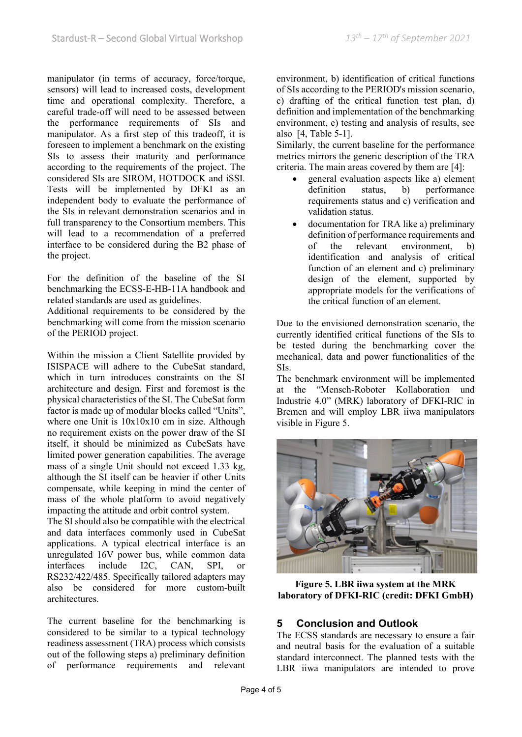manipulator (in terms of accuracy, force/torque, sensors) will lead to increased costs, development time and operational complexity. Therefore, a careful trade-off will need to be assessed between the performance requirements of SIs and manipulator. As a first step of this tradeoff, it is foreseen to implement a benchmark on the existing SIs to assess their maturity and performance according to the requirements of the project. The considered SIs are SIROM, HOTDOCK and iSSI. Tests will be implemented by DFKI as an independent body to evaluate the performance of the SIs in relevant demonstration scenarios and in full transparency to the Consortium members. This will lead to a recommendation of a preferred interface to be considered during the B2 phase of the project.

For the definition of the baseline of the SI benchmarking the ECSS-E-HB-11A handbook and related standards are used as guidelines.

Additional requirements to be considered by the benchmarking will come from the mission scenario of the PERIOD project.

Within the mission a Client Satellite provided by ISISPACE will adhere to the CubeSat standard, which in turn introduces constraints on the SI architecture and design. First and foremost is the physical characteristics of the SI. The CubeSat form factor is made up of modular blocks called "Units", where one Unit is  $10x10x10$  cm in size. Although no requirement exists on the power draw of the SI itself, it should be minimized as CubeSats have limited power generation capabilities. The average mass of a single Unit should not exceed 1.33 kg, although the SI itself can be heavier if other Units compensate, while keeping in mind the center of mass of the whole platform to avoid negatively impacting the attitude and orbit control system.

The SI should also be compatible with the electrical and data interfaces commonly used in CubeSat applications. A typical electrical interface is an unregulated 16V power bus, while common data interfaces include I2C, CAN, SPI, or RS232/422/485. Specifically tailored adapters may also be considered for more custom-built architectures.

The current baseline for the benchmarking is considered to be similar to a typical technology readiness assessment (TRA) process which consists out of the following steps a) preliminary definition of performance requirements and relevant

environment, b) identification of critical functions of SIs according to the PERIOD's mission scenario, c) drafting of the critical function test plan, d) definition and implementation of the benchmarking environment, e) testing and analysis of results, see also [4, Table 5-1].

Similarly, the current baseline for the performance metrics mirrors the generic description of the TRA criteria. The main areas covered by them are [4]:

- general evaluation aspects like a) element definition status, b) performance requirements status and c) verification and validation status.
- documentation for TRA like a) preliminary definition of performance requirements and of the relevant environment, b) identification and analysis of critical function of an element and c) preliminary design of the element, supported by appropriate models for the verifications of the critical function of an element.

Due to the envisioned demonstration scenario, the currently identified critical functions of the SIs to be tested during the benchmarking cover the mechanical, data and power functionalities of the SIs.

The benchmark environment will be implemented at the "Mensch-Roboter Kollaboration und Industrie 4.0" (MRK) laboratory of DFKI-RIC in Bremen and will employ LBR iiwa manipulators visible in Figure 5.



**Figure 5. LBR iiwa system at the MRK laboratory of DFKI-RIC (credit: DFKI GmbH)**

## **5 Conclusion and Outlook**

The ECSS standards are necessary to ensure a fair and neutral basis for the evaluation of a suitable standard interconnect. The planned tests with the LBR iiwa manipulators are intended to prove